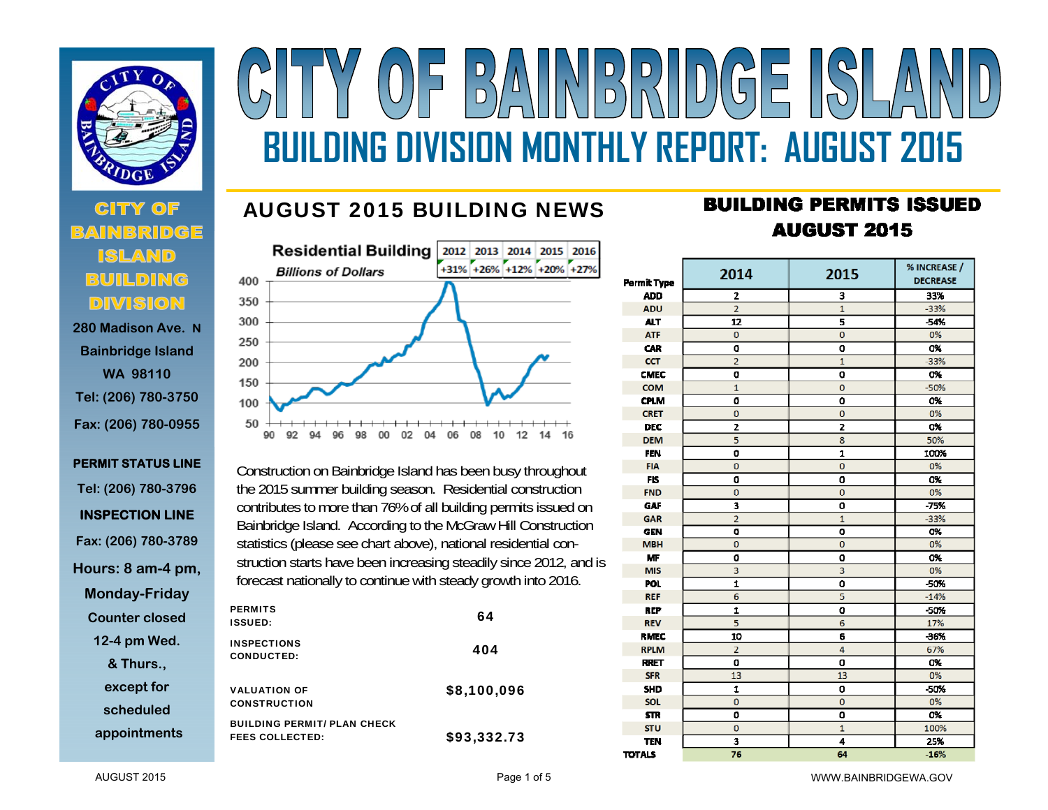

# **280 Madison Ave. N**

**Bainbridge Island WA 98110 Tel: (206) 780-3750 Fax: (206) 780-0955** 

```
PERMIT STATUS LINE Tel: (206) 780-3796 
INSPECTION LINE Fax: (206) 780-3789 
Hours: 8 am-4 pm, 
 Monday-Friday 
  Counter closed 12-4 pm Wed. 
     & Thurs., 
    except for 
    scheduled appointments
```
# NBRIDGE  $\frac{D}{D}$ **BUILDING DIVISION MONTHLY REPORT: AUGUST 2015**

### AUGUST 2015 BUILDING NEWS



Construction on Bainbridge Island has been busy throughout the 2015 summer building season. Residential construction contributes to more than 76% of all building permits issued on Bainbridge Island. According to the McGraw Hill Construction statistics (please see chart above), national residential construction starts have been increasing steadily since 2012, and is forecast nationally to continue with steady growth into 2016.

| <b>PERMITS</b><br><b>ISSUED:</b>           |                                    | 64          |
|--------------------------------------------|------------------------------------|-------------|
| <b>INSPECTIONS</b><br><b>CONDUCTED:</b>    |                                    | 404         |
| <b>VALUATION OF</b><br><b>CONSTRUCTION</b> |                                    | \$8,100,096 |
| <b>FEES COLLECTED:</b>                     | <b>BUILDING PERMIT/ PLAN CHECK</b> | \$93,332.73 |

## **BUILDING PERMITS ISSUED AUGUST 2015**

| <b>Permit Type</b> | 2014                    | 2015           | % INCREASE /<br><b>DECREASE</b> |  |  |
|--------------------|-------------------------|----------------|---------------------------------|--|--|
| <b>ADD</b>         | 2                       | 3              | 33%                             |  |  |
| <b>ADU</b>         | $\overline{2}$          | $\mathbf{1}$   | $-33%$                          |  |  |
| <b>ALT</b>         | 12                      | 5              | -54%                            |  |  |
| <b>ATF</b>         | 0                       | $\mathbf 0$    | 0%                              |  |  |
| <b>CAR</b>         | O                       | 0              | 0%                              |  |  |
| <b>CCT</b>         | $\overline{a}$          | $\mathbf{1}$   | $-33%$                          |  |  |
| <b>CMEC</b>        | o                       | 0              | 0%                              |  |  |
| <b>COM</b>         | $\mathbf{1}$            | $\mathbf 0$    | $-50%$                          |  |  |
| <b>CPLM</b>        | O                       | ٥              | 0%                              |  |  |
| <b>CRET</b>        | 0                       | 0              | 0%                              |  |  |
| <b>DEC</b>         | $\overline{\mathbf{z}}$ | 2              | 0%                              |  |  |
| <b>DEM</b>         | 5                       | 8              | 50%                             |  |  |
| <b>FEN</b>         | $\mathbf 0$             | 1              | 100%                            |  |  |
| <b>FIA</b>         | $\overline{0}$          | $\overline{0}$ | 0%                              |  |  |
| <b>FIS</b>         | O                       | O              | 0%                              |  |  |
| <b>FND</b>         | $\overline{0}$          | $\mathbf{0}$   | 0%                              |  |  |
| GAF                | 3                       | 0              | $-75%$                          |  |  |
| GAR                | $\overline{a}$          | $\mathbf{1}$   | $-33%$                          |  |  |
| <b>GEN</b>         | O                       | O              | 0%                              |  |  |
| <b>MBH</b>         | $\overline{0}$          | $\overline{0}$ | 0%                              |  |  |
| <b>MF</b>          | $\mathbf 0$             | O              | O%                              |  |  |
| <b>MIS</b>         | 3                       | 3              | 0%                              |  |  |
| <b>POL</b>         | $\mathbf{1}$            | O              | -50%                            |  |  |
| <b>REF</b>         | 6                       | 5              | $-14%$                          |  |  |
| <b>REP</b>         | 1                       | O              | $-50%$                          |  |  |
| <b>REV</b>         | 5                       | 6              | 17%                             |  |  |
| <b>RMEC</b>        | 10                      | 6              | $-36%$                          |  |  |
| <b>RPLM</b>        | $\overline{2}$          | 4              | 67%                             |  |  |
| <b>RRET</b>        | 0                       | O              | 0%                              |  |  |
| <b>SFR</b>         | 13                      | 13             | 0%                              |  |  |
| <b>SHD</b>         | $\mathbf 1$             | 0              | -50%                            |  |  |
| SOL                | $\mathbf{0}$            | $\mathbf 0$    | 0%                              |  |  |
| <b>STR</b>         | O                       | 0              | 0%                              |  |  |
| <b>STU</b>         | $\mathbf 0$             | $\mathbf{1}$   | 100%                            |  |  |
| <b>TEN</b>         | 3                       | 4              | 25%                             |  |  |
| <b>TOTALS</b>      | 76                      | 64             | $-16%$                          |  |  |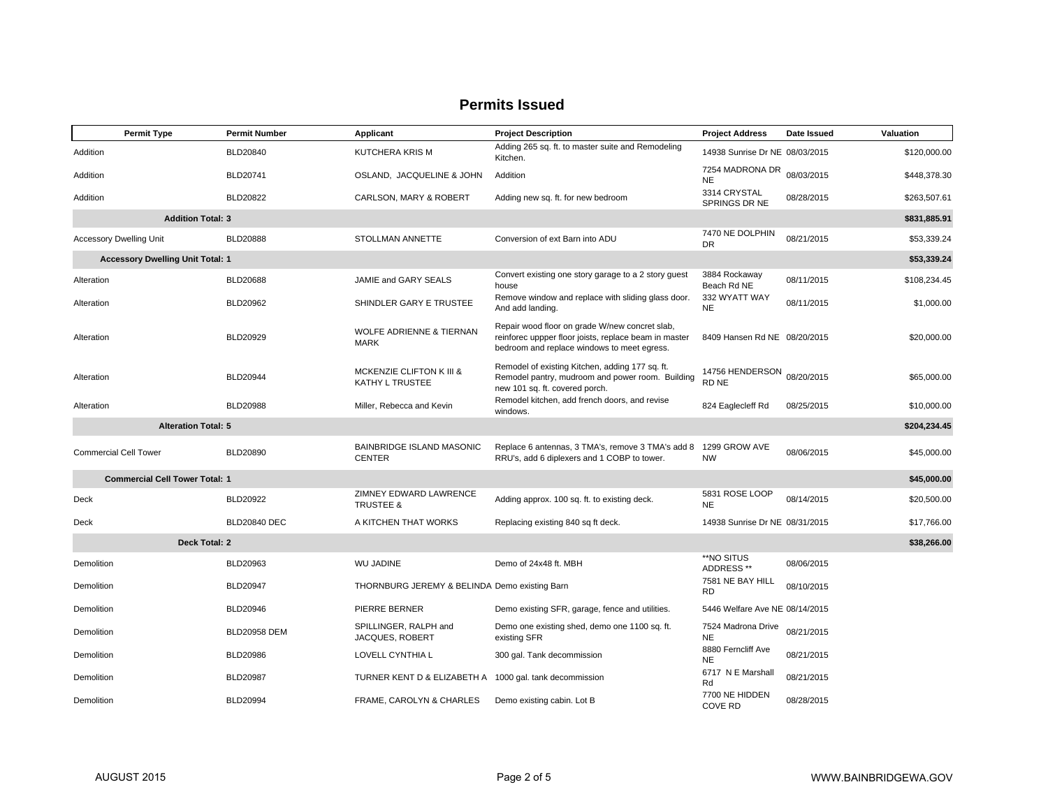| <b>Permit Type</b>                      | <b>Permit Number</b> | Applicant                                               | <b>Project Description</b>                                                                                                                             | <b>Project Address</b>          | Date Issued | Valuation    |
|-----------------------------------------|----------------------|---------------------------------------------------------|--------------------------------------------------------------------------------------------------------------------------------------------------------|---------------------------------|-------------|--------------|
| Addition                                | BLD20840             | <b>KUTCHERA KRIS M</b>                                  | Adding 265 sq. ft. to master suite and Remodeling<br>Kitchen.                                                                                          | 14938 Sunrise Dr NE 08/03/2015  |             | \$120,000.00 |
| Addition                                | BLD20741             | OSLAND, JACQUELINE & JOHN                               | Addition                                                                                                                                               | 7254 MADRONA DR<br><b>NE</b>    | 08/03/2015  | \$448,378.30 |
| Addition                                | BLD20822             | CARLSON, MARY & ROBERT                                  | Adding new sq. ft. for new bedroom                                                                                                                     | 3314 CRYSTAL<br>SPRINGS DR NE   | 08/28/2015  | \$263,507.61 |
| <b>Addition Total: 3</b>                |                      |                                                         |                                                                                                                                                        |                                 |             | \$831,885.91 |
| <b>Accessory Dwelling Unit</b>          | <b>BLD20888</b>      | STOLLMAN ANNETTE                                        | Conversion of ext Barn into ADU                                                                                                                        | 7470 NE DOLPHIN<br>DR           | 08/21/2015  | \$53,339.24  |
| <b>Accessory Dwelling Unit Total: 1</b> |                      |                                                         |                                                                                                                                                        |                                 |             | \$53,339.24  |
| Alteration                              | <b>BLD20688</b>      | JAMIE and GARY SEALS                                    | Convert existing one story garage to a 2 story guest<br>house                                                                                          | 3884 Rockaway<br>Beach Rd NE    | 08/11/2015  | \$108,234.45 |
| Alteration                              | BLD20962             | SHINDLER GARY E TRUSTEE                                 | Remove window and replace with sliding glass door.<br>And add landing.                                                                                 | 332 WYATT WAY<br><b>NE</b>      | 08/11/2015  | \$1,000.00   |
| Alteration                              | BLD20929             | <b>WOLFE ADRIENNE &amp; TIERNAN</b><br><b>MARK</b>      | Repair wood floor on grade W/new concret slab,<br>reinforec uppper floor joists, replace beam in master<br>bedroom and replace windows to meet egress. | 8409 Hansen Rd NE 08/20/2015    |             | \$20,000.00  |
| Alteration                              | BLD20944             | MCKENZIE CLIFTON K III &<br>KATHY L TRUSTEE             | Remodel of existing Kitchen, adding 177 sq. ft.<br>Remodel pantry, mudroom and power room. Building<br>new 101 sq. ft. covered porch.                  | 14756 HENDERSON<br>RD NE        | 08/20/2015  | \$65,000.00  |
| Alteration                              | <b>BLD20988</b>      | Miller, Rebecca and Kevin                               | Remodel kitchen, add french doors, and revise<br>windows.                                                                                              | 824 Eaglecleff Rd               | 08/25/2015  | \$10,000.00  |
| <b>Alteration Total: 5</b>              |                      |                                                         |                                                                                                                                                        |                                 |             | \$204,234.45 |
| <b>Commercial Cell Tower</b>            | BLD20890             | <b>BAINBRIDGE ISLAND MASONIC</b><br><b>CENTER</b>       | Replace 6 antennas, 3 TMA's, remove 3 TMA's add 8 1299 GROW AVE<br>RRU's, add 6 diplexers and 1 COBP to tower.                                         | <b>NW</b>                       | 08/06/2015  | \$45,000.00  |
| <b>Commercial Cell Tower Total: 1</b>   |                      |                                                         |                                                                                                                                                        |                                 |             | \$45,000.00  |
| Deck                                    | BLD20922             | ZIMNEY EDWARD LAWRENCE<br><b>TRUSTEE &amp;</b>          | Adding approx. 100 sq. ft. to existing deck.                                                                                                           | 5831 ROSE LOOP<br><b>NE</b>     | 08/14/2015  | \$20,500.00  |
| Deck                                    | <b>BLD20840 DEC</b>  | A KITCHEN THAT WORKS                                    | Replacing existing 840 sq ft deck.                                                                                                                     | 14938 Sunrise Dr NE 08/31/2015  |             | \$17,766.00  |
| Deck Total: 2                           |                      |                                                         |                                                                                                                                                        |                                 |             | \$38,266.00  |
| Demolition                              | BLD20963             | <b>WU JADINE</b>                                        | Demo of 24x48 ft. MBH                                                                                                                                  | **NO SITUS<br>ADDRESS**         | 08/06/2015  |              |
| Demolition                              | <b>BLD20947</b>      | THORNBURG JEREMY & BELINDA Demo existing Barn           |                                                                                                                                                        | 7581 NE BAY HILL<br><b>RD</b>   | 08/10/2015  |              |
| Demolition                              | BLD20946             | PIERRE BERNER                                           | Demo existing SFR, garage, fence and utilities.                                                                                                        | 5446 Welfare Ave NE 08/14/2015  |             |              |
| Demolition                              | <b>BLD20958 DEM</b>  | SPILLINGER, RALPH and<br>JACQUES, ROBERT                | Demo one existing shed, demo one 1100 sq. ft.<br>existing SFR                                                                                          | 7524 Madrona Drive<br><b>NE</b> | 08/21/2015  |              |
| Demolition                              | <b>BLD20986</b>      | LOVELL CYNTHIA L                                        | 300 gal. Tank decommission                                                                                                                             | 8880 Ferncliff Ave<br><b>NE</b> | 08/21/2015  |              |
| Demolition                              | <b>BLD20987</b>      | TURNER KENT D & ELIZABETH A 1000 gal. tank decommission |                                                                                                                                                        | 6717 N E Marshall<br>Rd         | 08/21/2015  |              |
| Demolition                              | BLD20994             | FRAME, CAROLYN & CHARLES                                | Demo existing cabin. Lot B                                                                                                                             | 7700 NE HIDDEN<br>COVE RD       | 08/28/2015  |              |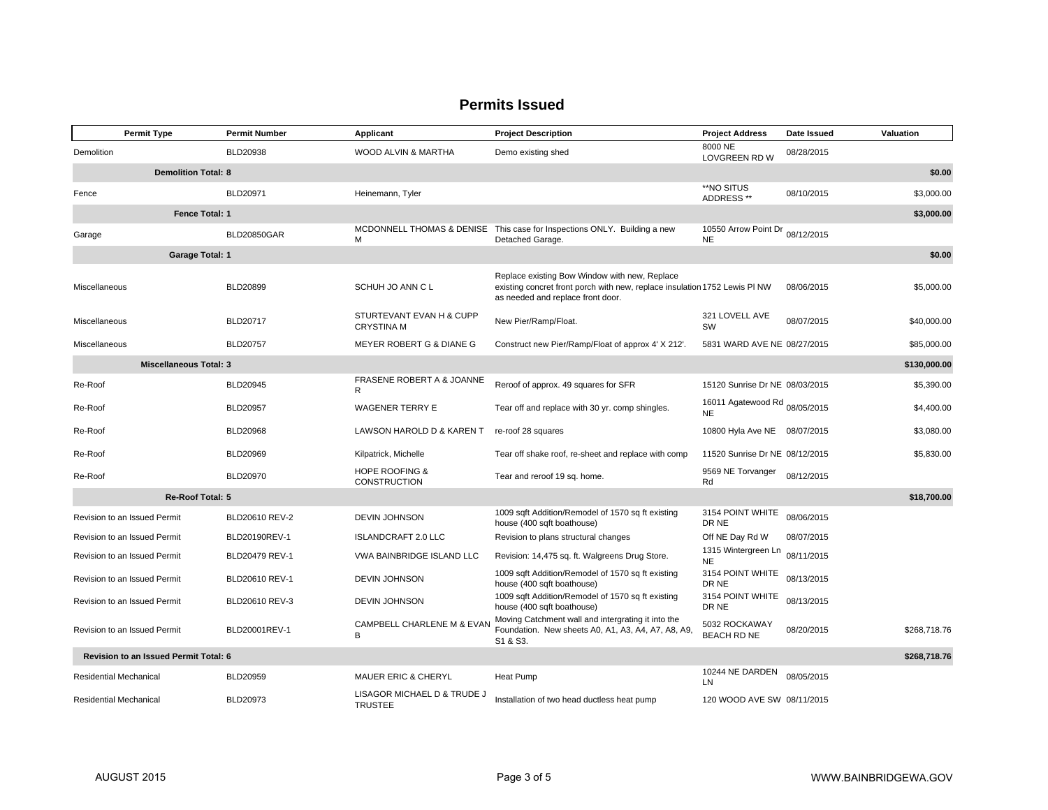|                                       | <b>Permit Type</b>            | <b>Permit Number</b> | Applicant                                        | <b>Project Description</b>                                                                                                                                       | <b>Project Address</b>                     | Date Issued | Valuation    |
|---------------------------------------|-------------------------------|----------------------|--------------------------------------------------|------------------------------------------------------------------------------------------------------------------------------------------------------------------|--------------------------------------------|-------------|--------------|
| Demolition                            |                               | BLD20938             | WOOD ALVIN & MARTHA                              | Demo existing shed                                                                                                                                               | 8000 NE<br><b>LOVGREEN RD W</b>            | 08/28/2015  |              |
| <b>Demolition Total: 8</b>            |                               |                      |                                                  |                                                                                                                                                                  |                                            |             | \$0.00       |
| Fence                                 |                               | <b>BLD20971</b>      | Heinemann, Tyler                                 |                                                                                                                                                                  | **NO SITUS<br>ADDRESS **                   | 08/10/2015  | \$3,000.00   |
|                                       | Fence Total: 1                |                      |                                                  |                                                                                                                                                                  |                                            |             | \$3,000.00   |
| Garage                                |                               | <b>BLD20850GAR</b>   | M                                                | MCDONNELL THOMAS & DENISE This case for Inspections ONLY. Building a new<br>Detached Garage.                                                                     | 10550 Arrow Point Dr<br><b>NE</b>          | 08/12/2015  |              |
|                                       | <b>Garage Total: 1</b>        |                      |                                                  |                                                                                                                                                                  |                                            |             | \$0.00       |
| Miscellaneous                         |                               | <b>BLD20899</b>      | SCHUH JO ANN C L                                 | Replace existing Bow Window with new, Replace<br>existing concret front porch with new, replace insulation 1752 Lewis PI NW<br>as needed and replace front door. |                                            | 08/06/2015  | \$5,000.00   |
| Miscellaneous                         |                               | BLD20717             | STURTEVANT EVAN H & CUPP<br><b>CRYSTINA M</b>    | New Pier/Ramp/Float.                                                                                                                                             | 321 LOVELL AVE<br>SW                       | 08/07/2015  | \$40,000.00  |
| Miscellaneous                         |                               | <b>BLD20757</b>      | MEYER ROBERT G & DIANE G                         | Construct new Pier/Ramp/Float of approx 4' X 212'.                                                                                                               | 5831 WARD AVE NE 08/27/2015                |             | \$85,000.00  |
|                                       | <b>Miscellaneous Total: 3</b> |                      |                                                  |                                                                                                                                                                  |                                            |             | \$130,000.00 |
| Re-Roof                               |                               | BLD20945             | FRASENE ROBERT A & JOANNE<br>R                   | Reroof of approx. 49 squares for SFR                                                                                                                             | 15120 Sunrise Dr NE 08/03/2015             |             | \$5,390.00   |
| Re-Roof                               |                               | <b>BLD20957</b>      | <b>WAGENER TERRY E</b>                           | Tear off and replace with 30 yr. comp shingles.                                                                                                                  | 16011 Agatewood Rd 08/05/2015<br><b>NE</b> |             | \$4,400.00   |
| Re-Roof                               |                               | BLD20968             | LAWSON HAROLD D & KAREN T                        | re-roof 28 squares                                                                                                                                               | 10800 Hyla Ave NE 08/07/2015               |             | \$3,080.00   |
| Re-Roof                               |                               | BLD20969             | Kilpatrick, Michelle                             | Tear off shake roof, re-sheet and replace with comp                                                                                                              | 11520 Sunrise Dr NE 08/12/2015             |             | \$5,830.00   |
| Re-Roof                               |                               | <b>BLD20970</b>      | <b>HOPE ROOFING &amp;</b><br><b>CONSTRUCTION</b> | Tear and reroof 19 sq. home.                                                                                                                                     | 9569 NE Torvanger<br>Rd                    | 08/12/2015  |              |
|                                       | Re-Roof Total: 5              |                      |                                                  |                                                                                                                                                                  |                                            |             | \$18,700.00  |
|                                       | Revision to an Issued Permit  | BLD20610 REV-2       | <b>DEVIN JOHNSON</b>                             | 1009 sqft Addition/Remodel of 1570 sq ft existing<br>house (400 sqft boathouse)                                                                                  | 3154 POINT WHITE<br>DR NE                  | 08/06/2015  |              |
|                                       | Revision to an Issued Permit  | BLD20190REV-1        | <b>ISLANDCRAFT 2.0 LLC</b>                       | Revision to plans structural changes                                                                                                                             | Off NE Day Rd W                            | 08/07/2015  |              |
|                                       | Revision to an Issued Permit  | BLD20479 REV-1       | VWA BAINBRIDGE ISLAND LLC                        | Revision: 14,475 sq. ft. Walgreens Drug Store.                                                                                                                   | 1315 Wintergreen Ln<br><b>NE</b>           | 08/11/2015  |              |
|                                       | Revision to an Issued Permit  | BLD20610 REV-1       | <b>DEVIN JOHNSON</b>                             | 1009 sqft Addition/Remodel of 1570 sq ft existing<br>house (400 sqft boathouse)                                                                                  | 3154 POINT WHITE<br>DR NE                  | 08/13/2015  |              |
|                                       | Revision to an Issued Permit  | BLD20610 REV-3       | <b>DEVIN JOHNSON</b>                             | 1009 sqft Addition/Remodel of 1570 sq ft existing<br>house (400 sqft boathouse)                                                                                  | 3154 POINT WHITE<br>DR NE                  | 08/13/2015  |              |
|                                       | Revision to an Issued Permit  | BLD20001REV-1        | CAMPBELL CHARLENE M & EVAN<br>B                  | Moving Catchment wall and intergrating it into the<br>Foundation. New sheets A0, A1, A3, A4, A7, A8, A9,<br>S <sub>1</sub> & S <sub>3</sub> .                    | 5032 ROCKAWAY<br>BEACH RD NE               | 08/20/2015  | \$268,718.76 |
| Revision to an Issued Permit Total: 6 |                               |                      |                                                  |                                                                                                                                                                  |                                            |             | \$268,718.76 |
| Residential Mechanical                |                               | BLD20959             | <b>MAUER ERIC &amp; CHERYL</b>                   | <b>Heat Pump</b>                                                                                                                                                 | 10244 NE DARDEN<br>LN                      | 08/05/2015  |              |
| Residential Mechanical                |                               | BLD20973             | LISAGOR MICHAEL D & TRUDE J<br><b>TRUSTEE</b>    | Installation of two head ductless heat pump                                                                                                                      | 120 WOOD AVE SW 08/11/2015                 |             |              |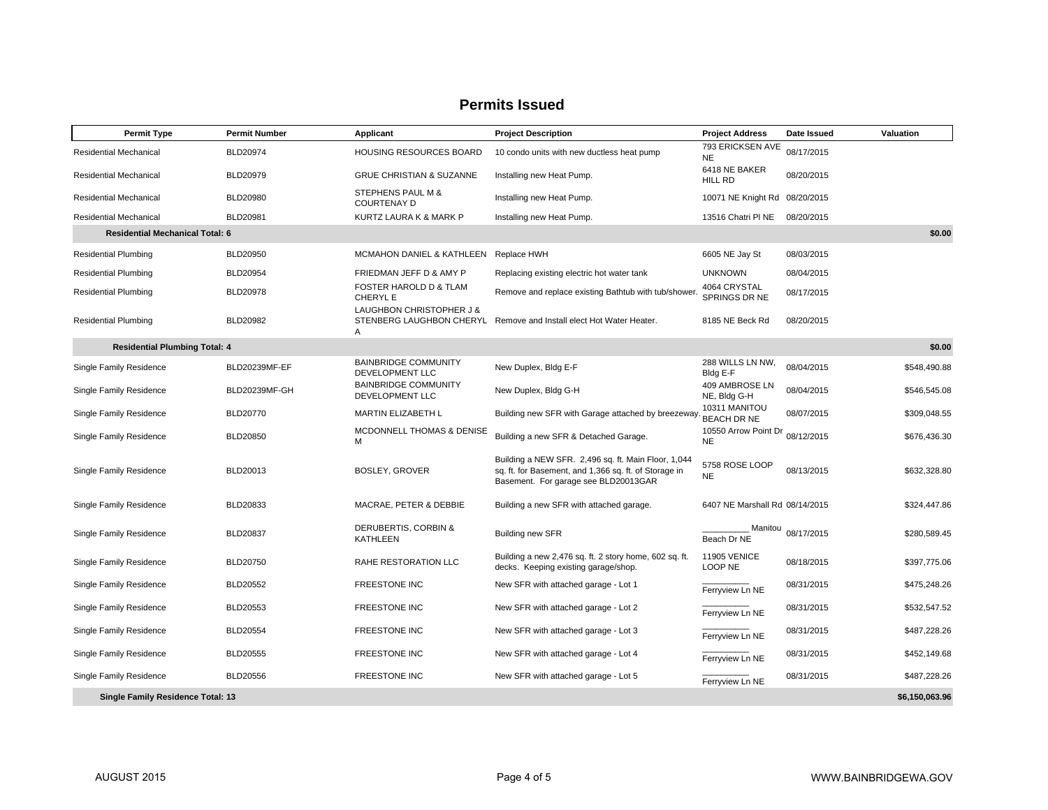| <b>Permit Type</b>                       | <b>Permit Number</b> | Applicant                                      | <b>Project Description</b>                                                                                                                           | <b>Project Address</b>            | Date Issued | Valuation      |
|------------------------------------------|----------------------|------------------------------------------------|------------------------------------------------------------------------------------------------------------------------------------------------------|-----------------------------------|-------------|----------------|
| Residential Mechanical                   | <b>BLD20974</b>      | HOUSING RESOURCES BOARD                        | 10 condo units with new ductless heat pump                                                                                                           | 793 ERICKSEN AVE<br><b>NE</b>     | 08/17/2015  |                |
| Residential Mechanical                   | <b>BLD20979</b>      | <b>GRUE CHRISTIAN &amp; SUZANNE</b>            | Installing new Heat Pump.                                                                                                                            | 6418 NE BAKER<br>HILL RD          | 08/20/2015  |                |
| <b>Residential Mechanical</b>            | <b>BLD20980</b>      | STEPHENS PAUL M &<br><b>COURTENAY D</b>        | Installing new Heat Pump.                                                                                                                            | 10071 NE Knight Rd                | 08/20/2015  |                |
| <b>Residential Mechanical</b>            | BLD20981             | KURTZ LAURA K & MARK P                         | Installing new Heat Pump.                                                                                                                            | 13516 Chatri PINE                 | 08/20/2015  |                |
| <b>Residential Mechanical Total: 6</b>   |                      |                                                |                                                                                                                                                      |                                   |             | \$0.00         |
| <b>Residential Plumbing</b>              | <b>BLD20950</b>      | MCMAHON DANIEL & KATHLEEN Replace HWH          |                                                                                                                                                      | 6605 NE Jay St                    | 08/03/2015  |                |
| <b>Residential Plumbing</b>              | <b>BLD20954</b>      | FRIEDMAN JEFF D & AMY P                        | Replacing existing electric hot water tank                                                                                                           | <b>UNKNOWN</b>                    | 08/04/2015  |                |
| <b>Residential Plumbing</b>              | <b>BLD20978</b>      | FOSTER HAROLD D & TLAM<br>CHERYL E             | Remove and replace existing Bathtub with tub/shower                                                                                                  | 4064 CRYSTAL<br>SPRINGS DR NE     | 08/17/2015  |                |
| <b>Residential Plumbing</b>              | BLD20982             | LAUGHBON CHRISTOPHER J &<br>A                  | STENBERG LAUGHBON CHERYL Remove and Install elect Hot Water Heater.                                                                                  | 8185 NE Beck Rd                   | 08/20/2015  |                |
| <b>Residential Plumbing Total: 4</b>     |                      |                                                |                                                                                                                                                      |                                   |             | \$0.00         |
| Single Family Residence                  | BLD20239MF-EF        | <b>BAINBRIDGE COMMUNITY</b><br>DEVELOPMENT LLC | New Duplex, Bldg E-F                                                                                                                                 | 288 WILLS LN NW,<br>Bldg E-F      | 08/04/2015  | \$548,490.88   |
| Single Family Residence                  | BLD20239MF-GH        | <b>BAINBRIDGE COMMUNITY</b><br>DEVELOPMENT LLC | New Duplex, Bldg G-H                                                                                                                                 | 409 AMBROSE LN<br>NE, Bldg G-H    | 08/04/2015  | \$546,545.08   |
| Single Family Residence                  | <b>BLD20770</b>      | MARTIN ELIZABETH L                             | Building new SFR with Garage attached by breezeway                                                                                                   | 10311 MANITOU<br>BEACH DR NE      | 08/07/2015  | \$309,048.55   |
| Single Family Residence                  | BLD20850             | MCDONNELL THOMAS & DENISE<br>М                 | Building a new SFR & Detached Garage.                                                                                                                | 10550 Arrow Point Dr<br><b>NE</b> | 08/12/2015  | \$676,436.30   |
| Single Family Residence                  | BLD20013             | BOSLEY, GROVER                                 | Building a NEW SFR. 2,496 sq. ft. Main Floor, 1,044<br>sq. ft. for Basement, and 1,366 sq. ft. of Storage in<br>Basement. For garage see BLD20013GAR | 5758 ROSE LOOP<br><b>NE</b>       | 08/13/2015  | \$632,328.80   |
| Single Family Residence                  | BLD20833             | MACRAE, PETER & DEBBIE                         | Building a new SFR with attached garage.                                                                                                             | 6407 NE Marshall Rd 08/14/2015    |             | \$324,447.86   |
| Single Family Residence                  | <b>BLD20837</b>      | DERUBERTIS, CORBIN &<br><b>KATHLEEN</b>        | <b>Building new SFR</b>                                                                                                                              | Manitou<br>Beach Dr NE            | 08/17/2015  | \$280,589.45   |
| Single Family Residence                  | BLD20750             | RAHE RESTORATION LLC                           | Building a new 2,476 sq. ft. 2 story home, 602 sq. ft.<br>decks. Keeping existing garage/shop.                                                       | <b>11905 VENICE</b><br>LOOP NE    | 08/18/2015  | \$397,775.06   |
| Single Family Residence                  | BLD20552             | <b>FREESTONE INC</b>                           | New SFR with attached garage - Lot 1                                                                                                                 | Ferryview Ln NE                   | 08/31/2015  | \$475,248.26   |
| Single Family Residence                  | BLD20553             | <b>FREESTONE INC</b>                           | New SFR with attached garage - Lot 2                                                                                                                 | Ferryview Ln NE                   | 08/31/2015  | \$532,547.52   |
| Single Family Residence                  | <b>BLD20554</b>      | <b>FREESTONE INC</b>                           | New SFR with attached garage - Lot 3                                                                                                                 | Ferryview Ln NE                   | 08/31/2015  | \$487,228.26   |
| Single Family Residence                  | <b>BLD20555</b>      | <b>FREESTONE INC</b>                           | New SFR with attached garage - Lot 4                                                                                                                 | Ferryview Ln NE                   | 08/31/2015  | \$452,149.68   |
| Single Family Residence                  | <b>BLD20556</b>      | FREESTONE INC                                  | New SFR with attached garage - Lot 5                                                                                                                 | Ferryview Ln NE                   | 08/31/2015  | \$487,228.26   |
| <b>Single Family Residence Total: 13</b> |                      |                                                |                                                                                                                                                      |                                   |             | \$6,150,063.96 |